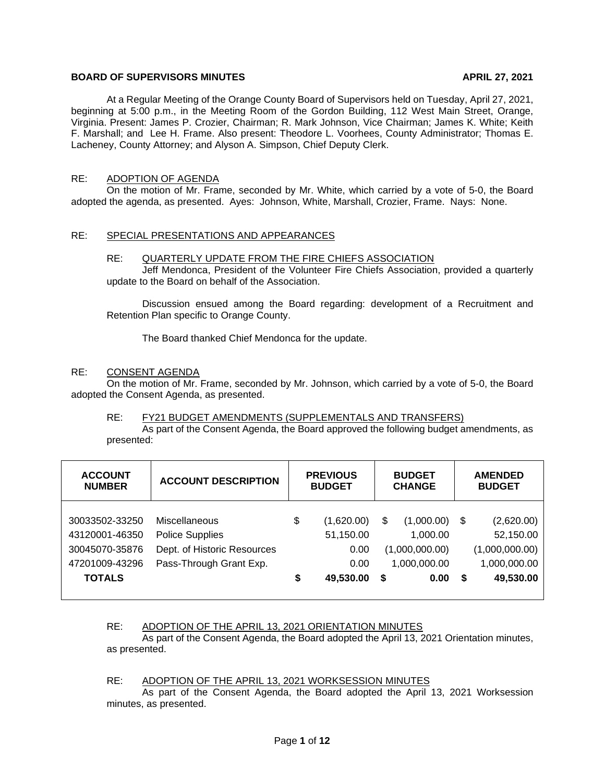# **BOARD OF SUPERVISORS MINUTES APRIL 27, 2021**

At a Regular Meeting of the Orange County Board of Supervisors held on Tuesday, April 27, 2021, beginning at 5:00 p.m., in the Meeting Room of the Gordon Building, 112 West Main Street, Orange, Virginia. Present: James P. Crozier, Chairman; R. Mark Johnson, Vice Chairman; James K. White; Keith F. Marshall; and Lee H. Frame. Also present: Theodore L. Voorhees, County Administrator; Thomas E. Lacheney, County Attorney; and Alyson A. Simpson, Chief Deputy Clerk.

# RE: ADOPTION OF AGENDA

On the motion of Mr. Frame, seconded by Mr. White, which carried by a vote of 5-0, the Board adopted the agenda, as presented. Ayes: Johnson, White, Marshall, Crozier, Frame. Nays: None.

# RE: SPECIAL PRESENTATIONS AND APPEARANCES

#### RE: QUARTERLY UPDATE FROM THE FIRE CHIEFS ASSOCIATION

Jeff Mendonca, President of the Volunteer Fire Chiefs Association, provided a quarterly update to the Board on behalf of the Association.

Discussion ensued among the Board regarding: development of a Recruitment and Retention Plan specific to Orange County.

The Board thanked Chief Mendonca for the update.

#### RE: CONSENT AGENDA

On the motion of Mr. Frame, seconded by Mr. Johnson, which carried by a vote of 5-0, the Board adopted the Consent Agenda, as presented.

#### RE: FY21 BUDGET AMENDMENTS (SUPPLEMENTALS AND TRANSFERS)

As part of the Consent Agenda, the Board approved the following budget amendments, as presented:

| <b>ACCOUNT</b><br><b>NUMBER</b>                                                       | <b>ACCOUNT DESCRIPTION</b>                                                                        |          | <b>PREVIOUS</b><br><b>BUDGET</b>                     |          | <b>BUDGET</b><br><b>CHANGE</b>                                   |        | <b>AMENDED</b><br><b>BUDGET</b>                                        |
|---------------------------------------------------------------------------------------|---------------------------------------------------------------------------------------------------|----------|------------------------------------------------------|----------|------------------------------------------------------------------|--------|------------------------------------------------------------------------|
| 30033502-33250<br>43120001-46350<br>30045070-35876<br>47201009-43296<br><b>TOTALS</b> | Miscellaneous<br><b>Police Supplies</b><br>Dept. of Historic Resources<br>Pass-Through Grant Exp. | \$<br>\$ | (1,620.00)<br>51,150.00<br>0.00<br>0.00<br>49,530.00 | \$<br>\$ | (1,000.00)<br>1,000.00<br>(1,000,000.00)<br>1,000,000.00<br>0.00 | S<br>S | (2,620.00)<br>52,150.00<br>(1,000,000.00)<br>1,000,000.00<br>49,530.00 |

# RE: ADOPTION OF THE APRIL 13, 2021 ORIENTATION MINUTES

As part of the Consent Agenda, the Board adopted the April 13, 2021 Orientation minutes, as presented.

#### RE: ADOPTION OF THE APRIL 13, 2021 WORKSESSION MINUTES

As part of the Consent Agenda, the Board adopted the April 13, 2021 Worksession minutes, as presented.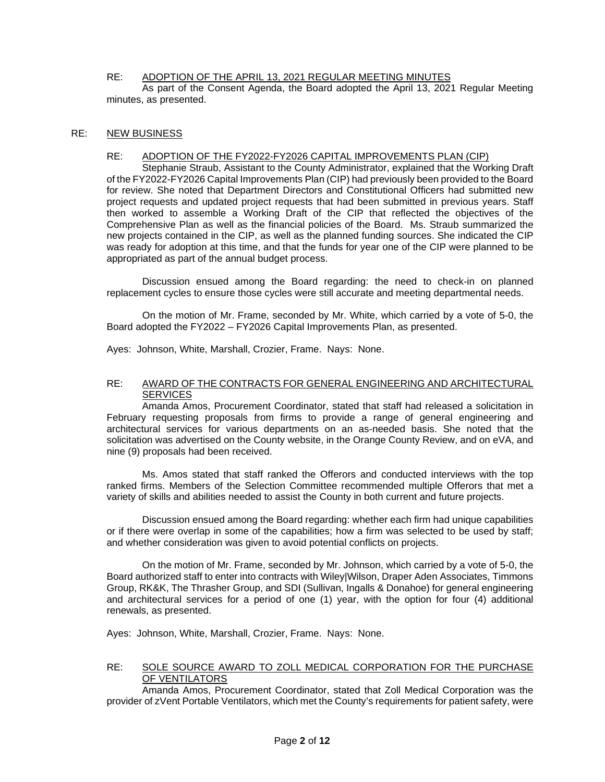# RE: ADOPTION OF THE APRIL 13, 2021 REGULAR MEETING MINUTES

As part of the Consent Agenda, the Board adopted the April 13, 2021 Regular Meeting minutes, as presented.

# RE: NEW BUSINESS

## RE: ADOPTION OF THE FY2022-FY2026 CAPITAL IMPROVEMENTS PLAN (CIP)

Stephanie Straub, Assistant to the County Administrator, explained that the Working Draft of the FY2022-FY2026 Capital Improvements Plan (CIP) had previously been provided to the Board for review. She noted that Department Directors and Constitutional Officers had submitted new project requests and updated project requests that had been submitted in previous years. Staff then worked to assemble a Working Draft of the CIP that reflected the objectives of the Comprehensive Plan as well as the financial policies of the Board. Ms. Straub summarized the new projects contained in the CIP, as well as the planned funding sources. She indicated the CIP was ready for adoption at this time, and that the funds for year one of the CIP were planned to be appropriated as part of the annual budget process.

Discussion ensued among the Board regarding: the need to check-in on planned replacement cycles to ensure those cycles were still accurate and meeting departmental needs.

On the motion of Mr. Frame, seconded by Mr. White, which carried by a vote of 5-0, the Board adopted the FY2022 – FY2026 Capital Improvements Plan, as presented.

Ayes: Johnson, White, Marshall, Crozier, Frame. Nays: None.

#### RE: AWARD OF THE CONTRACTS FOR GENERAL ENGINEERING AND ARCHITECTURAL **SERVICES**

Amanda Amos, Procurement Coordinator, stated that staff had released a solicitation in February requesting proposals from firms to provide a range of general engineering and architectural services for various departments on an as-needed basis. She noted that the solicitation was advertised on the County website, in the Orange County Review, and on eVA, and nine (9) proposals had been received.

Ms. Amos stated that staff ranked the Offerors and conducted interviews with the top ranked firms. Members of the Selection Committee recommended multiple Offerors that met a variety of skills and abilities needed to assist the County in both current and future projects.

Discussion ensued among the Board regarding: whether each firm had unique capabilities or if there were overlap in some of the capabilities; how a firm was selected to be used by staff; and whether consideration was given to avoid potential conflicts on projects.

On the motion of Mr. Frame, seconded by Mr. Johnson, which carried by a vote of 5-0, the Board authorized staff to enter into contracts with Wiley|Wilson, Draper Aden Associates, Timmons Group, RK&K, The Thrasher Group, and SDI (Sullivan, Ingalls & Donahoe) for general engineering and architectural services for a period of one (1) year, with the option for four (4) additional renewals, as presented.

Ayes: Johnson, White, Marshall, Crozier, Frame. Nays: None.

# RE: SOLE SOURCE AWARD TO ZOLL MEDICAL CORPORATION FOR THE PURCHASE OF VENTILATORS

Amanda Amos, Procurement Coordinator, stated that Zoll Medical Corporation was the provider of zVent Portable Ventilators, which met the County's requirements for patient safety, were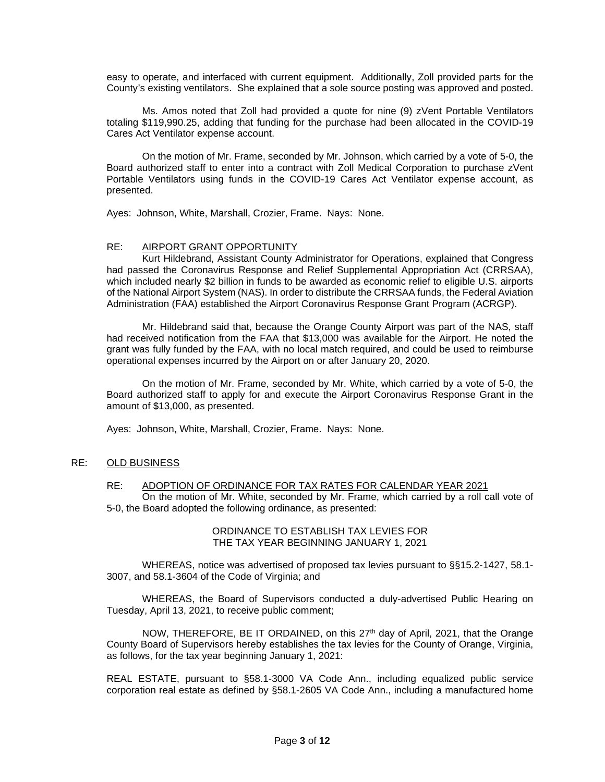easy to operate, and interfaced with current equipment. Additionally, Zoll provided parts for the County's existing ventilators. She explained that a sole source posting was approved and posted.

Ms. Amos noted that Zoll had provided a quote for nine (9) zVent Portable Ventilators totaling \$119,990.25, adding that funding for the purchase had been allocated in the COVID-19 Cares Act Ventilator expense account.

On the motion of Mr. Frame, seconded by Mr. Johnson, which carried by a vote of 5-0, the Board authorized staff to enter into a contract with Zoll Medical Corporation to purchase zVent Portable Ventilators using funds in the COVID-19 Cares Act Ventilator expense account, as presented.

Ayes: Johnson, White, Marshall, Crozier, Frame. Nays: None.

#### RE: AIRPORT GRANT OPPORTUNITY

Kurt Hildebrand, Assistant County Administrator for Operations, explained that Congress had passed the Coronavirus Response and Relief Supplemental Appropriation Act (CRRSAA), which included nearly \$2 billion in funds to be awarded as economic relief to eligible U.S. airports of the National Airport System (NAS). In order to distribute the CRRSAA funds, the Federal Aviation Administration (FAA) established the Airport Coronavirus Response Grant Program (ACRGP).

Mr. Hildebrand said that, because the Orange County Airport was part of the NAS, staff had received notification from the FAA that \$13,000 was available for the Airport. He noted the grant was fully funded by the FAA, with no local match required, and could be used to reimburse operational expenses incurred by the Airport on or after January 20, 2020.

On the motion of Mr. Frame, seconded by Mr. White, which carried by a vote of 5-0, the Board authorized staff to apply for and execute the Airport Coronavirus Response Grant in the amount of \$13,000, as presented.

Ayes: Johnson, White, Marshall, Crozier, Frame. Nays: None.

## RE: OLD BUSINESS

# RE: ADOPTION OF ORDINANCE FOR TAX RATES FOR CALENDAR YEAR 2021

On the motion of Mr. White, seconded by Mr. Frame, which carried by a roll call vote of 5-0, the Board adopted the following ordinance, as presented:

#### ORDINANCE TO ESTABLISH TAX LEVIES FOR THE TAX YEAR BEGINNING JANUARY 1, 2021

WHEREAS, notice was advertised of proposed tax levies pursuant to §§15.2-1427, 58.1- 3007, and 58.1-3604 of the Code of Virginia; and

WHEREAS, the Board of Supervisors conducted a duly-advertised Public Hearing on Tuesday, April 13, 2021, to receive public comment;

NOW, THEREFORE, BE IT ORDAINED, on this  $27<sup>th</sup>$  day of April, 2021, that the Orange County Board of Supervisors hereby establishes the tax levies for the County of Orange, Virginia, as follows, for the tax year beginning January 1, 2021:

REAL ESTATE, pursuant to §58.1-3000 VA Code Ann., including equalized public service corporation real estate as defined by §58.1-2605 VA Code Ann., including a manufactured home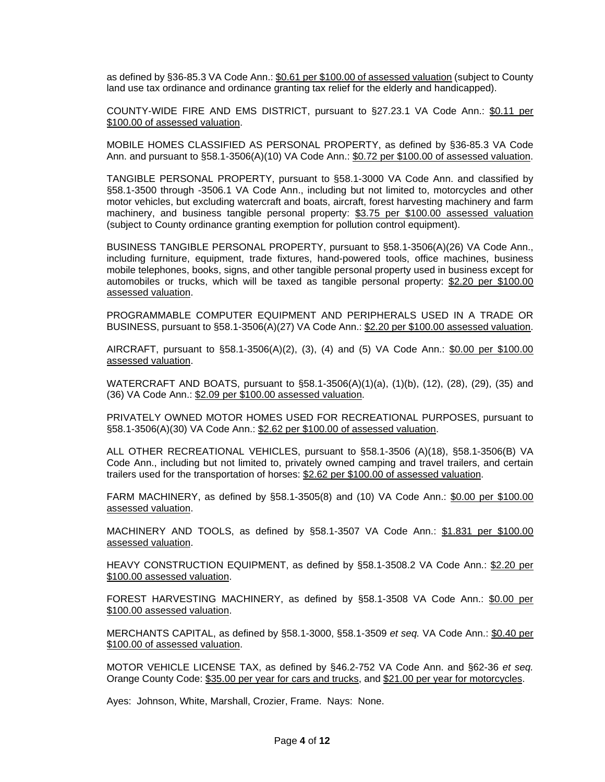as defined by §36-85.3 VA Code Ann.: \$0.61 per \$100.00 of assessed valuation (subject to County land use tax ordinance and ordinance granting tax relief for the elderly and handicapped).

COUNTY-WIDE FIRE AND EMS DISTRICT, pursuant to §27.23.1 VA Code Ann.: \$0.11 per \$100.00 of assessed valuation.

MOBILE HOMES CLASSIFIED AS PERSONAL PROPERTY, as defined by §36-85.3 VA Code Ann. and pursuant to §58.1-3506(A)(10) VA Code Ann.: \$0.72 per \$100.00 of assessed valuation.

TANGIBLE PERSONAL PROPERTY, pursuant to §58.1-3000 VA Code Ann. and classified by §58.1-3500 through -3506.1 VA Code Ann., including but not limited to, motorcycles and other motor vehicles, but excluding watercraft and boats, aircraft, forest harvesting machinery and farm machinery, and business tangible personal property: \$3.75 per \$100.00 assessed valuation (subject to County ordinance granting exemption for pollution control equipment).

BUSINESS TANGIBLE PERSONAL PROPERTY, pursuant to §58.1-3506(A)(26) VA Code Ann., including furniture, equipment, trade fixtures, hand-powered tools, office machines, business mobile telephones, books, signs, and other tangible personal property used in business except for automobiles or trucks, which will be taxed as tangible personal property: \$2.20 per \$100.00 assessed valuation.

PROGRAMMABLE COMPUTER EQUIPMENT AND PERIPHERALS USED IN A TRADE OR BUSINESS, pursuant to §58.1-3506(A)(27) VA Code Ann.: \$2.20 per \$100.00 assessed valuation.

AIRCRAFT, pursuant to §58.1-3506(A)(2), (3), (4) and (5) VA Code Ann.: \$0.00 per \$100.00 assessed valuation.

WATERCRAFT AND BOATS, pursuant to §58.1-3506(A)(1)(a), (1)(b), (12), (28), (29), (35) and (36) VA Code Ann.: \$2.09 per \$100.00 assessed valuation.

PRIVATELY OWNED MOTOR HOMES USED FOR RECREATIONAL PURPOSES, pursuant to §58.1-3506(A)(30) VA Code Ann.: \$2.62 per \$100.00 of assessed valuation.

ALL OTHER RECREATIONAL VEHICLES, pursuant to §58.1-3506 (A)(18), §58.1-3506(B) VA Code Ann., including but not limited to, privately owned camping and travel trailers, and certain trailers used for the transportation of horses: \$2.62 per \$100.00 of assessed valuation.

FARM MACHINERY, as defined by §58.1-3505(8) and (10) VA Code Ann.: \$0.00 per \$100.00 assessed valuation.

MACHINERY AND TOOLS, as defined by §58.1-3507 VA Code Ann.: \$1.831 per \$100.00 assessed valuation.

HEAVY CONSTRUCTION EQUIPMENT, as defined by §58.1-3508.2 VA Code Ann.: \$2.20 per \$100.00 assessed valuation.

FOREST HARVESTING MACHINERY, as defined by §58.1-3508 VA Code Ann.: \$0.00 per \$100.00 assessed valuation.

MERCHANTS CAPITAL, as defined by §58.1-3000, §58.1-3509 *et seq.* VA Code Ann.: \$0.40 per \$100.00 of assessed valuation.

MOTOR VEHICLE LICENSE TAX, as defined by §46.2-752 VA Code Ann. and §62-36 *et seq.* Orange County Code: \$35.00 per year for cars and trucks, and \$21.00 per year for motorcycles.

Ayes: Johnson, White, Marshall, Crozier, Frame. Nays: None.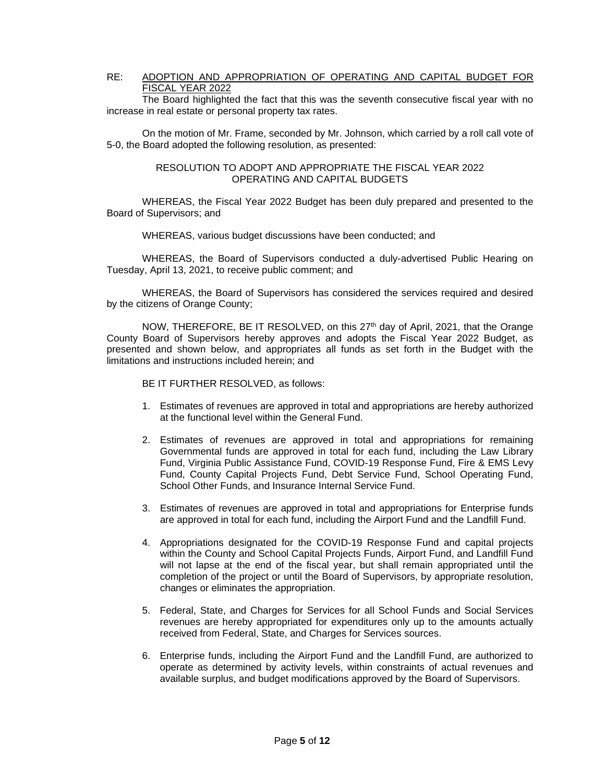# RE: ADOPTION AND APPROPRIATION OF OPERATING AND CAPITAL BUDGET FOR FISCAL YEAR 2022

The Board highlighted the fact that this was the seventh consecutive fiscal year with no increase in real estate or personal property tax rates.

On the motion of Mr. Frame, seconded by Mr. Johnson, which carried by a roll call vote of 5-0, the Board adopted the following resolution, as presented:

#### RESOLUTION TO ADOPT AND APPROPRIATE THE FISCAL YEAR 2022 OPERATING AND CAPITAL BUDGETS

WHEREAS, the Fiscal Year 2022 Budget has been duly prepared and presented to the Board of Supervisors; and

WHEREAS, various budget discussions have been conducted; and

WHEREAS, the Board of Supervisors conducted a duly-advertised Public Hearing on Tuesday, April 13, 2021, to receive public comment; and

WHEREAS, the Board of Supervisors has considered the services required and desired by the citizens of Orange County;

NOW, THEREFORE, BE IT RESOLVED, on this 27<sup>th</sup> day of April, 2021, that the Orange County Board of Supervisors hereby approves and adopts the Fiscal Year 2022 Budget, as presented and shown below, and appropriates all funds as set forth in the Budget with the limitations and instructions included herein; and

BE IT FURTHER RESOLVED, as follows:

- 1. Estimates of revenues are approved in total and appropriations are hereby authorized at the functional level within the General Fund.
- 2. Estimates of revenues are approved in total and appropriations for remaining Governmental funds are approved in total for each fund, including the Law Library Fund, Virginia Public Assistance Fund, COVID-19 Response Fund, Fire & EMS Levy Fund, County Capital Projects Fund, Debt Service Fund, School Operating Fund, School Other Funds, and Insurance Internal Service Fund.
- 3. Estimates of revenues are approved in total and appropriations for Enterprise funds are approved in total for each fund, including the Airport Fund and the Landfill Fund.
- 4. Appropriations designated for the COVID-19 Response Fund and capital projects within the County and School Capital Projects Funds, Airport Fund, and Landfill Fund will not lapse at the end of the fiscal year, but shall remain appropriated until the completion of the project or until the Board of Supervisors, by appropriate resolution, changes or eliminates the appropriation.
- 5. Federal, State, and Charges for Services for all School Funds and Social Services revenues are hereby appropriated for expenditures only up to the amounts actually received from Federal, State, and Charges for Services sources.
- 6. Enterprise funds, including the Airport Fund and the Landfill Fund, are authorized to operate as determined by activity levels, within constraints of actual revenues and available surplus, and budget modifications approved by the Board of Supervisors.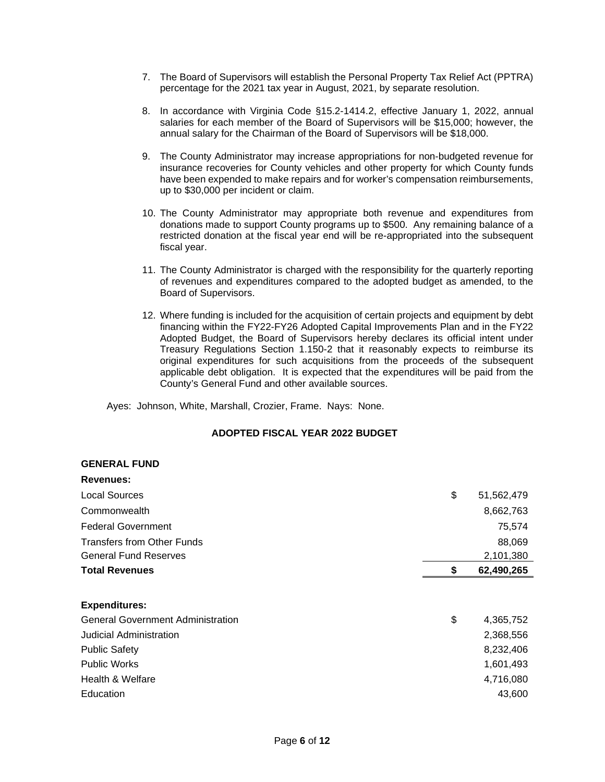- 7. The Board of Supervisors will establish the Personal Property Tax Relief Act (PPTRA) percentage for the 2021 tax year in August, 2021, by separate resolution.
- 8. In accordance with Virginia Code §15.2-1414.2, effective January 1, 2022, annual salaries for each member of the Board of Supervisors will be \$15,000; however, the annual salary for the Chairman of the Board of Supervisors will be \$18,000.
- 9. The County Administrator may increase appropriations for non-budgeted revenue for insurance recoveries for County vehicles and other property for which County funds have been expended to make repairs and for worker's compensation reimbursements, up to \$30,000 per incident or claim.
- 10. The County Administrator may appropriate both revenue and expenditures from donations made to support County programs up to \$500. Any remaining balance of a restricted donation at the fiscal year end will be re-appropriated into the subsequent fiscal year.
- 11. The County Administrator is charged with the responsibility for the quarterly reporting of revenues and expenditures compared to the adopted budget as amended, to the Board of Supervisors.
- 12. Where funding is included for the acquisition of certain projects and equipment by debt financing within the FY22-FY26 Adopted Capital Improvements Plan and in the FY22 Adopted Budget, the Board of Supervisors hereby declares its official intent under Treasury Regulations Section 1.150-2 that it reasonably expects to reimburse its original expenditures for such acquisitions from the proceeds of the subsequent applicable debt obligation. It is expected that the expenditures will be paid from the County's General Fund and other available sources.

Ayes: Johnson, White, Marshall, Crozier, Frame. Nays: None.

# **ADOPTED FISCAL YEAR 2022 BUDGET**

# **GENERAL FUND**

| Revenues:                                |    |            |
|------------------------------------------|----|------------|
| Local Sources                            | \$ | 51,562,479 |
| Commonwealth                             |    | 8,662,763  |
| <b>Federal Government</b>                |    | 75,574     |
| <b>Transfers from Other Funds</b>        |    | 88,069     |
| <b>General Fund Reserves</b>             |    | 2,101,380  |
| <b>Total Revenues</b>                    | S  | 62,490,265 |
| <b>Expenditures:</b>                     |    |            |
| <b>General Government Administration</b> | \$ | 4,365,752  |
| Judicial Administration                  |    | 2,368,556  |
| <b>Public Safety</b>                     |    | 8,232,406  |
| <b>Public Works</b>                      |    | 1,601,493  |
| Health & Welfare                         |    | 4,716,080  |
| Education                                |    | 43,600     |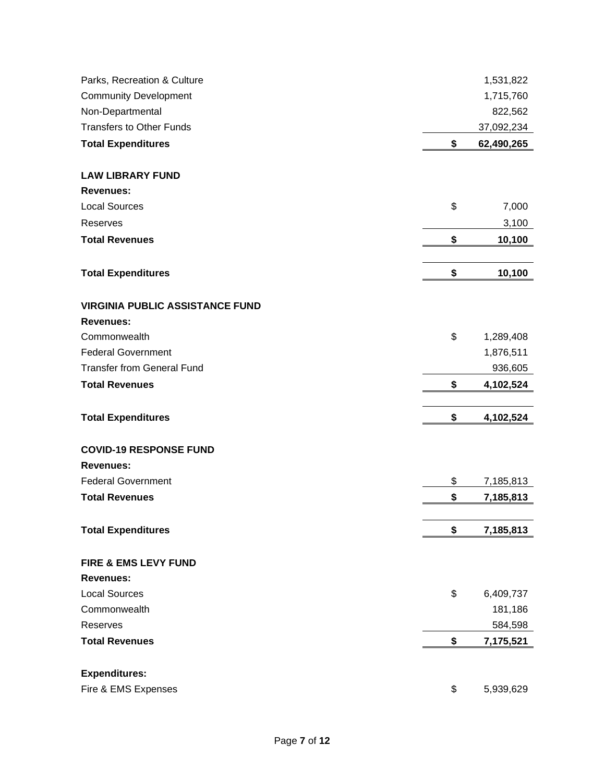| Parks, Recreation & Culture            | 1,531,822        |
|----------------------------------------|------------------|
| <b>Community Development</b>           | 1,715,760        |
| Non-Departmental                       | 822,562          |
| <b>Transfers to Other Funds</b>        | 37,092,234       |
| <b>Total Expenditures</b>              | \$<br>62,490,265 |
| <b>LAW LIBRARY FUND</b>                |                  |
| <b>Revenues:</b>                       |                  |
| <b>Local Sources</b>                   | \$<br>7,000      |
| Reserves                               | 3,100            |
| <b>Total Revenues</b>                  | \$<br>10,100     |
| <b>Total Expenditures</b>              | \$<br>10,100     |
| <b>VIRGINIA PUBLIC ASSISTANCE FUND</b> |                  |
| <b>Revenues:</b>                       |                  |
| Commonwealth                           | \$<br>1,289,408  |
| <b>Federal Government</b>              | 1,876,511        |
| <b>Transfer from General Fund</b>      | 936,605          |
| <b>Total Revenues</b>                  | \$<br>4,102,524  |
|                                        |                  |
| <b>Total Expenditures</b>              | \$<br>4,102,524  |
| <b>COVID-19 RESPONSE FUND</b>          |                  |
| <b>Revenues:</b>                       |                  |
| <b>Federal Government</b>              | \$<br>7,185,813  |
| <b>Total Revenues</b>                  | \$<br>7,185,813  |
| <b>Total Expenditures</b>              | \$<br>7,185,813  |
| FIRE & EMS LEVY FUND                   |                  |
| <b>Revenues:</b>                       |                  |
| <b>Local Sources</b>                   | \$<br>6,409,737  |
| Commonwealth                           | 181,186          |
| Reserves                               | 584,598          |
| <b>Total Revenues</b>                  | \$<br>7,175,521  |
| <b>Expenditures:</b>                   |                  |
| Fire & EMS Expenses                    | \$<br>5,939,629  |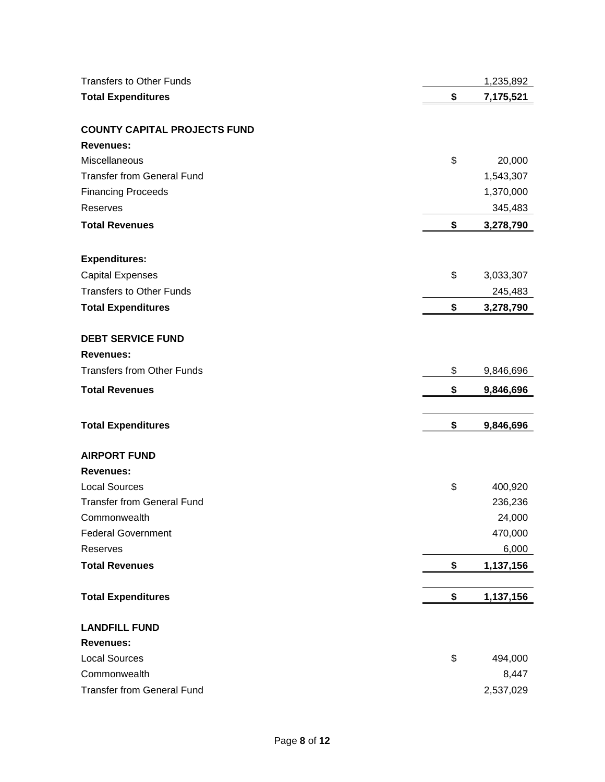| <b>Transfers to Other Funds</b>     | 1,235,892       |
|-------------------------------------|-----------------|
| <b>Total Expenditures</b>           | \$<br>7,175,521 |
|                                     |                 |
| <b>COUNTY CAPITAL PROJECTS FUND</b> |                 |
| <b>Revenues:</b>                    |                 |
| Miscellaneous                       | \$<br>20,000    |
| <b>Transfer from General Fund</b>   | 1,543,307       |
| <b>Financing Proceeds</b>           | 1,370,000       |
| Reserves                            | 345,483         |
| <b>Total Revenues</b>               | \$<br>3,278,790 |
|                                     |                 |
| <b>Expenditures:</b>                |                 |
| <b>Capital Expenses</b>             | \$<br>3,033,307 |
| <b>Transfers to Other Funds</b>     | 245,483         |
| <b>Total Expenditures</b>           | \$<br>3,278,790 |
|                                     |                 |
| <b>DEBT SERVICE FUND</b>            |                 |
| <b>Revenues:</b>                    |                 |
| <b>Transfers from Other Funds</b>   | \$<br>9,846,696 |
| <b>Total Revenues</b>               | \$<br>9,846,696 |
|                                     |                 |
| <b>Total Expenditures</b>           | \$<br>9,846,696 |
| <b>AIRPORT FUND</b>                 |                 |
| <b>Revenues:</b>                    |                 |
| <b>Local Sources</b>                | \$<br>400,920   |
| <b>Transfer from General Fund</b>   | 236,236         |
| Commonwealth                        | 24,000          |
| <b>Federal Government</b>           | 470,000         |
| Reserves                            | 6,000           |
| <b>Total Revenues</b>               | \$<br>1,137,156 |
|                                     |                 |
| <b>Total Expenditures</b>           | \$<br>1,137,156 |
| <b>LANDFILL FUND</b>                |                 |
| <b>Revenues:</b>                    |                 |
| <b>Local Sources</b>                | \$<br>494,000   |
| Commonwealth                        | 8,447           |
| <b>Transfer from General Fund</b>   | 2,537,029       |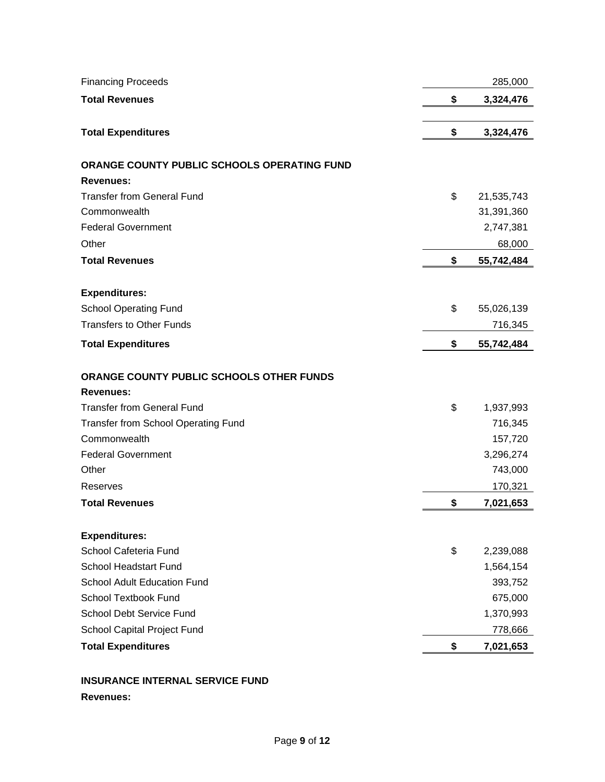| <b>Financing Proceeds</b>                   | 285,000          |
|---------------------------------------------|------------------|
| <b>Total Revenues</b>                       | \$<br>3,324,476  |
|                                             |                  |
| <b>Total Expenditures</b>                   | \$<br>3,324,476  |
| ORANGE COUNTY PUBLIC SCHOOLS OPERATING FUND |                  |
| <b>Revenues:</b>                            |                  |
| <b>Transfer from General Fund</b>           | \$<br>21,535,743 |
| Commonwealth                                | 31,391,360       |
| <b>Federal Government</b>                   | 2,747,381        |
| Other                                       | 68,000           |
| <b>Total Revenues</b>                       | \$<br>55,742,484 |
|                                             |                  |
| <b>Expenditures:</b>                        |                  |
| <b>School Operating Fund</b>                | \$<br>55,026,139 |
| <b>Transfers to Other Funds</b>             | 716,345          |
| <b>Total Expenditures</b>                   | \$<br>55,742,484 |
|                                             |                  |
| ORANGE COUNTY PUBLIC SCHOOLS OTHER FUNDS    |                  |
| <b>Revenues:</b>                            |                  |
| <b>Transfer from General Fund</b>           | \$<br>1,937,993  |
| Transfer from School Operating Fund         | 716,345          |
| Commonwealth                                | 157,720          |
| <b>Federal Government</b>                   | 3,296,274        |
| Other                                       | 743,000          |
| <b>Reserves</b>                             | 170,321          |
| <b>Total Revenues</b>                       | \$<br>7,021,653  |
|                                             |                  |
| <b>Expenditures:</b>                        |                  |
| School Cafeteria Fund                       | \$<br>2,239,088  |
| <b>School Headstart Fund</b>                | 1,564,154        |
| <b>School Adult Education Fund</b>          | 393,752          |
| <b>School Textbook Fund</b>                 | 675,000          |
| School Debt Service Fund                    | 1,370,993        |
| School Capital Project Fund                 | 778,666          |
| <b>Total Expenditures</b>                   | \$<br>7,021,653  |

# **INSURANCE INTERNAL SERVICE FUND**

# **Revenues:**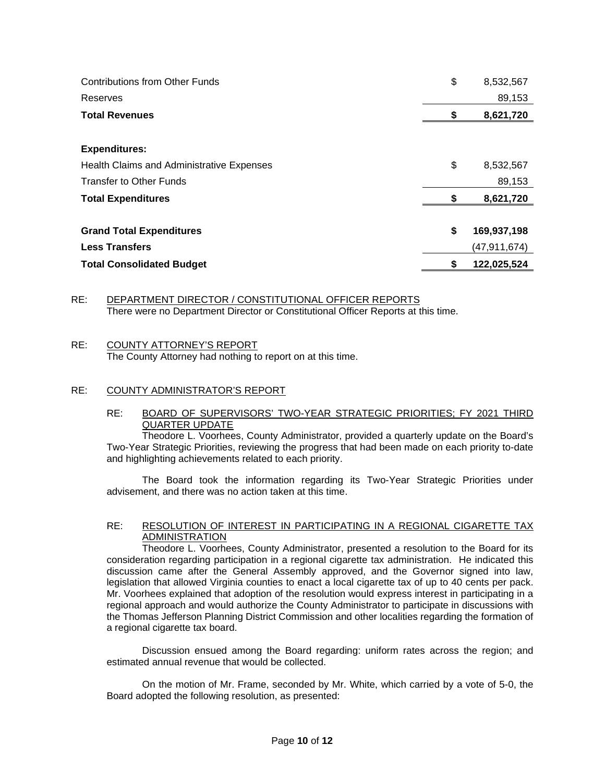| <b>Contributions from Other Funds</b>     | \$<br>8,532,567   |
|-------------------------------------------|-------------------|
| Reserves                                  | 89,153            |
| <b>Total Revenues</b>                     | 8,621,720         |
|                                           |                   |
| <b>Expenditures:</b>                      |                   |
| Health Claims and Administrative Expenses | \$<br>8,532,567   |
| <b>Transfer to Other Funds</b>            | 89,153            |
| <b>Total Expenditures</b>                 | 8,621,720         |
|                                           |                   |
| <b>Grand Total Expenditures</b>           | \$<br>169,937,198 |
| <b>Less Transfers</b>                     | (47,911,674)      |
| <b>Total Consolidated Budget</b>          | \$<br>122,025,524 |

# RE: DEPARTMENT DIRECTOR / CONSTITUTIONAL OFFICER REPORTS There were no Department Director or Constitutional Officer Reports at this time.

# RE: COUNTY ATTORNEY'S REPORT

The County Attorney had nothing to report on at this time.

# RE: COUNTY ADMINISTRATOR'S REPORT

# RE: BOARD OF SUPERVISORS' TWO-YEAR STRATEGIC PRIORITIES; FY 2021 THIRD QUARTER UPDATE

Theodore L. Voorhees, County Administrator, provided a quarterly update on the Board's Two-Year Strategic Priorities, reviewing the progress that had been made on each priority to-date and highlighting achievements related to each priority.

The Board took the information regarding its Two-Year Strategic Priorities under advisement, and there was no action taken at this time.

# RE: RESOLUTION OF INTEREST IN PARTICIPATING IN A REGIONAL CIGARETTE TAX ADMINISTRATION

Theodore L. Voorhees, County Administrator, presented a resolution to the Board for its consideration regarding participation in a regional cigarette tax administration. He indicated this discussion came after the General Assembly approved, and the Governor signed into law, legislation that allowed Virginia counties to enact a local cigarette tax of up to 40 cents per pack. Mr. Voorhees explained that adoption of the resolution would express interest in participating in a regional approach and would authorize the County Administrator to participate in discussions with the Thomas Jefferson Planning District Commission and other localities regarding the formation of a regional cigarette tax board.

Discussion ensued among the Board regarding: uniform rates across the region; and estimated annual revenue that would be collected.

On the motion of Mr. Frame, seconded by Mr. White, which carried by a vote of 5-0, the Board adopted the following resolution, as presented: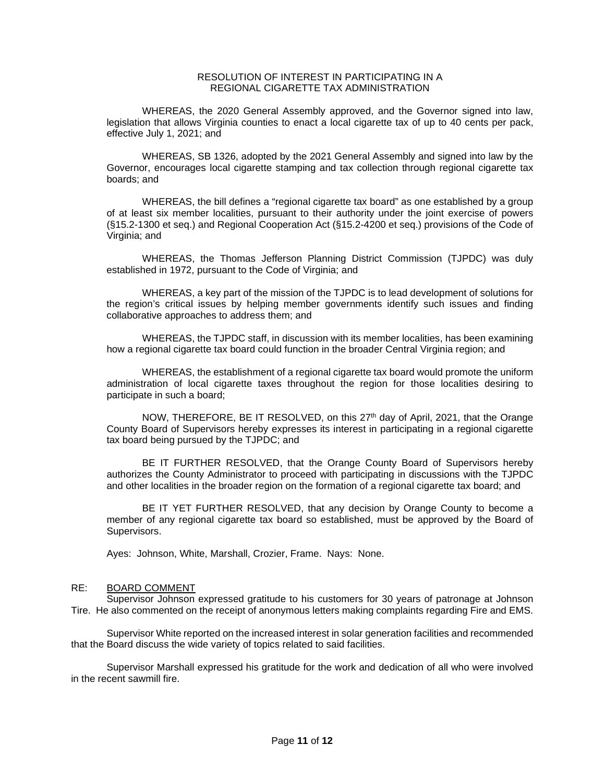# RESOLUTION OF INTEREST IN PARTICIPATING IN A REGIONAL CIGARETTE TAX ADMINISTRATION

WHEREAS, the 2020 General Assembly approved, and the Governor signed into law, legislation that allows Virginia counties to enact a local cigarette tax of up to 40 cents per pack, effective July 1, 2021; and

WHEREAS, [SB 1326,](https://lis.virginia.gov/cgi-bin/legp604.exe?212+ful+CHAP0061) adopted by the 2021 General Assembly and signed into law by the Governor, encourages local cigarette stamping and tax collection through regional cigarette tax boards; and

WHEREAS, the bill defines a "regional cigarette tax board" as one established by a group of at least six member localities, pursuant to their authority under the joint exercise of powers ([§15.2-1300](http://law.lis.virginia.gov/vacode/15.2-1300) et seq.) and Regional Cooperation Act ([§15.2-4200](http://law.lis.virginia.gov/vacode/15.2-4200) et seq.) provisions of the Code of Virginia; and

WHEREAS, the Thomas Jefferson Planning District Commission (TJPDC) was duly established in 1972, pursuant to the Code of Virginia; and

WHEREAS, a key part of the mission of the TJPDC is to lead development of solutions for the region's critical issues by helping member governments identify such issues and finding collaborative approaches to address them; and

WHEREAS, the TJPDC staff, in discussion with its member localities, has been examining how a regional cigarette tax board could function in the broader Central Virginia region; and

WHEREAS, the establishment of a regional cigarette tax board would promote the uniform administration of local cigarette taxes throughout the region for those localities desiring to participate in such a board;

NOW, THEREFORE, BE IT RESOLVED, on this 27<sup>th</sup> day of April, 2021, that the Orange County Board of Supervisors hereby expresses its interest in participating in a regional cigarette tax board being pursued by the TJPDC; and

BE IT FURTHER RESOLVED, that the Orange County Board of Supervisors hereby authorizes the County Administrator to proceed with participating in discussions with the TJPDC and other localities in the broader region on the formation of a regional cigarette tax board; and

BE IT YET FURTHER RESOLVED, that any decision by Orange County to become a member of any regional cigarette tax board so established, must be approved by the Board of Supervisors.

Ayes: Johnson, White, Marshall, Crozier, Frame. Nays: None.

# RE: BOARD COMMENT

Supervisor Johnson expressed gratitude to his customers for 30 years of patronage at Johnson Tire. He also commented on the receipt of anonymous letters making complaints regarding Fire and EMS.

Supervisor White reported on the increased interest in solar generation facilities and recommended that the Board discuss the wide variety of topics related to said facilities.

Supervisor Marshall expressed his gratitude for the work and dedication of all who were involved in the recent sawmill fire.